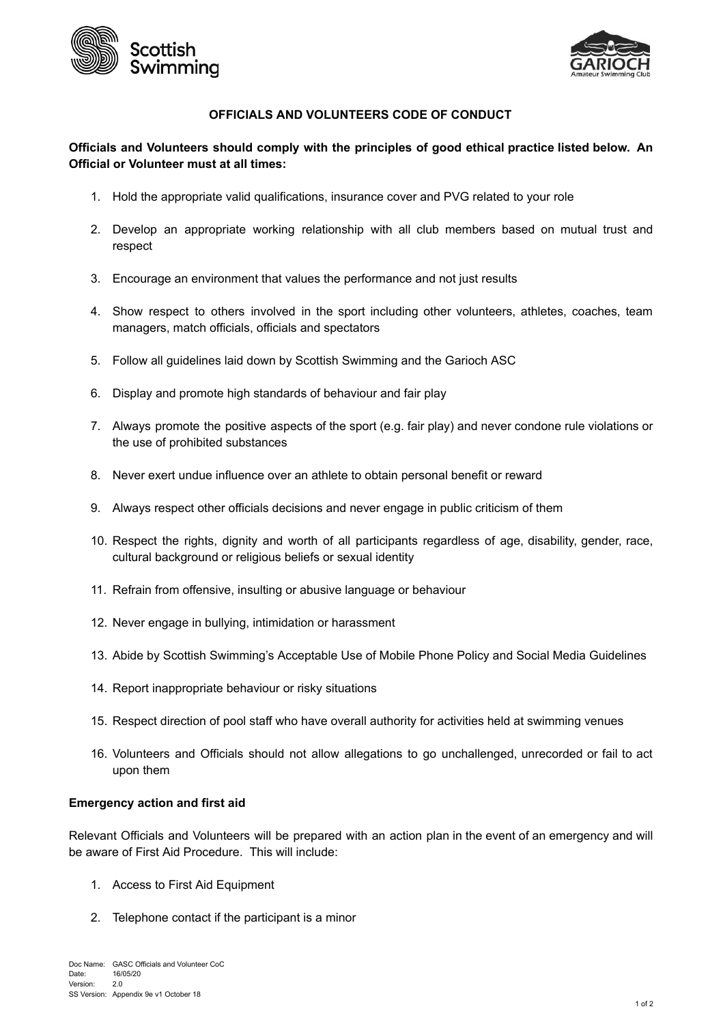



# **OFFICIALS AND VOLUNTEERS CODE OF CONDUCT**

# **Officials and Volunteers should comply with the principles of good ethical practice listed below. An Official or Volunteer must at all times:**

- 1. Hold the appropriate valid qualifications, insurance cover and PVG related to your role
- 2. Develop an appropriate working relationship with all club members based on mutual trust and respect
- 3. Encourage an environment that values the performance and not just results
- 4. Show respect to others involved in the sport including other volunteers, athletes, coaches, team managers, match officials, officials and spectators
- 5. Follow all guidelines laid down by Scottish Swimming and the Garioch ASC
- 6. Display and promote high standards of behaviour and fair play
- 7. Always promote the positive aspects of the sport (e.g. fair play) and never condone rule violations or the use of prohibited substances
- 8. Never exert undue influence over an athlete to obtain personal benefit or reward
- 9. Always respect other officials decisions and never engage in public criticism of them
- 10. Respect the rights, dignity and worth of all participants regardless of age, disability, gender, race, cultural background or religious beliefs or sexual identity
- 11. Refrain from offensive, insulting or abusive language or behaviour
- 12. Never engage in bullying, intimidation or harassment
- 13. Abide by Scottish Swimming's Acceptable Use of Mobile Phone Policy and Social Media Guidelines
- 14. Report inappropriate behaviour or risky situations
- 15. Respect direction of pool staff who have overall authority for activities held at swimming venues
- 16. Volunteers and Officials should not allow allegations to go unchallenged, unrecorded or fail to act upon them

#### **Emergency action and first aid**

Relevant Officials and Volunteers will be prepared with an action plan in the event of an emergency and will be aware of First Aid Procedure. This will include:

- 1. Access to First Aid Equipment
- 2. Telephone contact if the participant is a minor